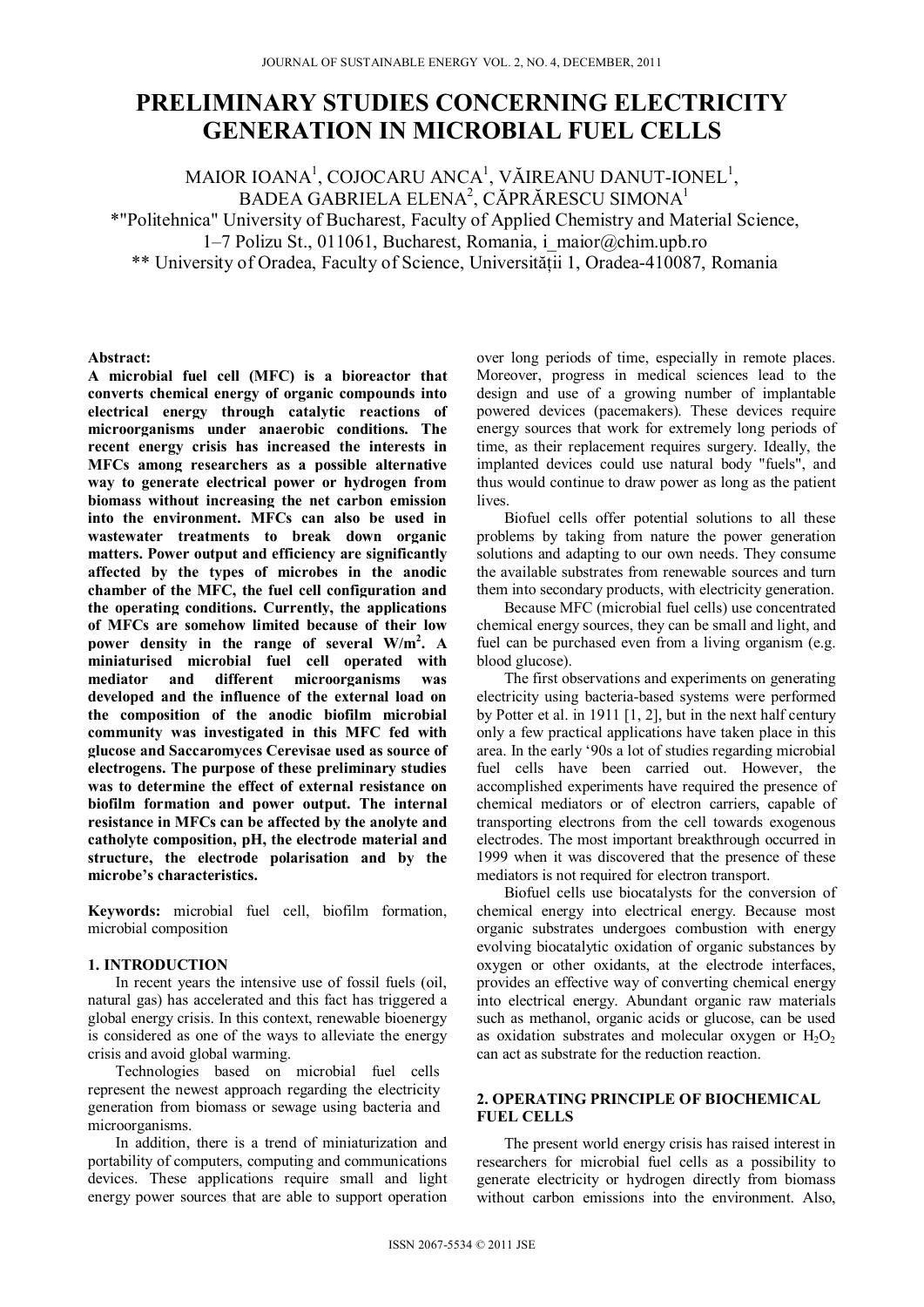# **PRELIMINARY STUDIES CONCERNING ELECTRICITY GENERATION IN MICROBIAL FUEL CELLS**

MAIOR IOANA<sup>1</sup>, COJOCARU ANCA<sup>1</sup>, VĂIREANU DANUT-IONEL<sup>1</sup>, BADEA GABRIELA ELENA<sup>2</sup>, CĂPRĂRESCU SIMONA<sup>1</sup> \*"Politehnica" University of Bucharest, Faculty of Applied Chemistry and Material Science, 1–7 Polizu St., 011061, Bucharest, Romania, i\_maior@chim.upb.ro \*\* University of Oradea, Faculty of Science, Universităţii 1, Oradea-410087, Romania

**Abstract:** 

**A microbial fuel cell (MFC) is a bioreactor that converts chemical energy of organic compounds into electrical energy through catalytic reactions of microorganisms under anaerobic conditions. The recent energy crisis has increased the interests in MFCs among researchers as a possible alternative way to generate electrical power or hydrogen from biomass without increasing the net carbon emission into the environment. MFCs can also be used in wastewater treatments to break down organic matters. Power output and efficiency are significantly affected by the types of microbes in the anodic chamber of the MFC, the fuel cell configuration and the operating conditions. Currently, the applications of MFCs are somehow limited because of their low power density in the range of several W/m2 . A miniaturised microbial fuel cell operated with mediator and different microorganisms was developed and the influence of the external load on the composition of the anodic biofilm microbial community was investigated in this MFC fed with glucose and Saccaromyces Cerevisae used as source of electrogens. The purpose of these preliminary studies was to determine the effect of external resistance on biofilm formation and power output. The internal resistance in MFCs can be affected by the anolyte and catholyte composition, pH, the electrode material and structure, the electrode polarisation and by the microbe's characteristics.** 

**Keywords:** microbial fuel cell, biofilm formation, microbial composition

# **1. INTRODUCTION**

In recent years the intensive use of fossil fuels (oil, natural gas) has accelerated and this fact has triggered a global energy crisis. In this context, renewable bioenergy is considered as one of the ways to alleviate the energy crisis and avoid global warming.

Technologies based on microbial fuel cells represent the newest approach regarding the electricity generation from biomass or sewage using bacteria and microorganisms.

In addition, there is a trend of miniaturization and portability of computers, computing and communications devices. These applications require small and light energy power sources that are able to support operation

over long periods of time, especially in remote places. Moreover, progress in medical sciences lead to the design and use of a growing number of implantable powered devices (pacemakers). These devices require energy sources that work for extremely long periods of time, as their replacement requires surgery. Ideally, the implanted devices could use natural body "fuels", and thus would continue to draw power as long as the patient lives.

Biofuel cells offer potential solutions to all these problems by taking from nature the power generation solutions and adapting to our own needs. They consume the available substrates from renewable sources and turn them into secondary products, with electricity generation.

Because MFC (microbial fuel cells) use concentrated chemical energy sources, they can be small and light, and fuel can be purchased even from a living organism (e.g. blood glucose).

The first observations and experiments on generating electricity using bacteria-based systems were performed by Potter et al. in 1911 [1, 2], but in the next half century only a few practical applications have taken place in this area. In the early '90s a lot of studies regarding microbial fuel cells have been carried out. However, the accomplished experiments have required the presence of chemical mediators or of electron carriers, capable of transporting electrons from the cell towards exogenous electrodes. The most important breakthrough occurred in 1999 when it was discovered that the presence of these mediators is not required for electron transport.

Biofuel cells use biocatalysts for the conversion of chemical energy into electrical energy. Because most organic substrates undergoes combustion with energy evolving biocatalytic oxidation of organic substances by oxygen or other oxidants, at the electrode interfaces, provides an effective way of converting chemical energy into electrical energy. Abundant organic raw materials such as methanol, organic acids or glucose, can be used as oxidation substrates and molecular oxygen or  $H_2O_2$ can act as substrate for the reduction reaction.

# **2. OPERATING PRINCIPLE OF BIOCHEMICAL FUEL CELLS**

The present world energy crisis has raised interest in researchers for microbial fuel cells as a possibility to generate electricity or hydrogen directly from biomass without carbon emissions into the environment. Also,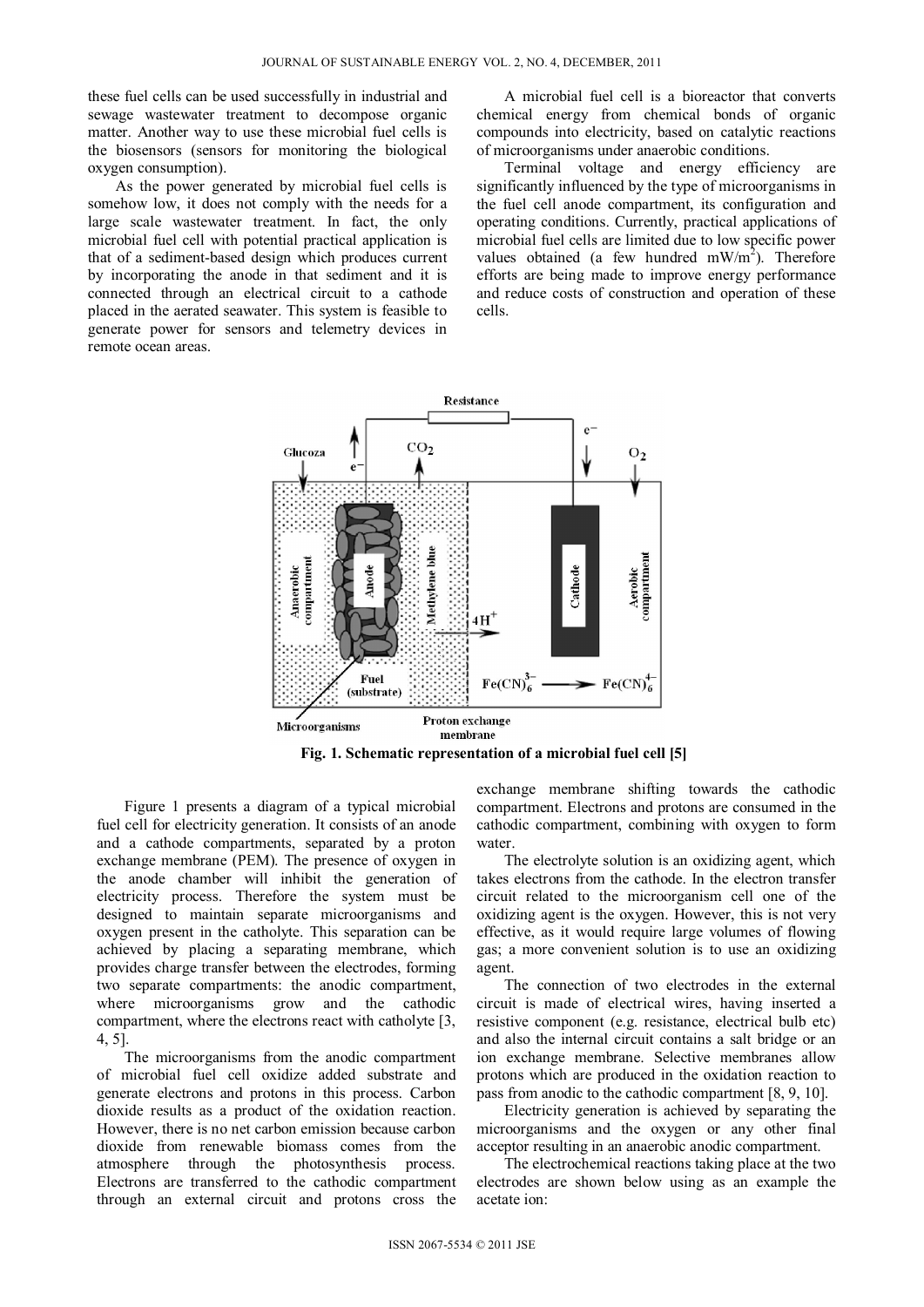these fuel cells can be used successfully in industrial and sewage wastewater treatment to decompose organic matter. Another way to use these microbial fuel cells is the biosensors (sensors for monitoring the biological oxygen consumption).

As the power generated by microbial fuel cells is somehow low, it does not comply with the needs for a large scale wastewater treatment. In fact, the only microbial fuel cell with potential practical application is that of a sediment-based design which produces current by incorporating the anode in that sediment and it is connected through an electrical circuit to a cathode placed in the aerated seawater. This system is feasible to generate power for sensors and telemetry devices in remote ocean areas.

A microbial fuel cell is a bioreactor that converts chemical energy from chemical bonds of organic compounds into electricity, based on catalytic reactions of microorganisms under anaerobic conditions.

Terminal voltage and energy efficiency are significantly influenced by the type of microorganisms in the fuel cell anode compartment, its configuration and operating conditions. Currently, practical applications of microbial fuel cells are limited due to low specific power values obtained (a few hundred  $mW/m<sup>2</sup>$ ). Therefore efforts are being made to improve energy performance and reduce costs of construction and operation of these cells.





Figure 1 presents a diagram of a typical microbial fuel cell for electricity generation. It consists of an anode and a cathode compartments, separated by a proton exchange membrane (PEM). The presence of oxygen in the anode chamber will inhibit the generation of electricity process. Therefore the system must be designed to maintain separate microorganisms and oxygen present in the catholyte. This separation can be achieved by placing a separating membrane, which provides charge transfer between the electrodes, forming two separate compartments: the anodic compartment, where microorganisms grow and the cathodic compartment, where the electrons react with catholyte [3, 4, 5].

The microorganisms from the anodic compartment of microbial fuel cell oxidize added substrate and generate electrons and protons in this process. Carbon dioxide results as a product of the oxidation reaction. However, there is no net carbon emission because carbon dioxide from renewable biomass comes from the atmosphere through the photosynthesis process. Electrons are transferred to the cathodic compartment through an external circuit and protons cross the exchange membrane shifting towards the cathodic compartment. Electrons and protons are consumed in the cathodic compartment, combining with oxygen to form water.

The electrolyte solution is an oxidizing agent, which takes electrons from the cathode. In the electron transfer circuit related to the microorganism cell one of the oxidizing agent is the oxygen. However, this is not very effective, as it would require large volumes of flowing gas; a more convenient solution is to use an oxidizing agent.

The connection of two electrodes in the external circuit is made of electrical wires, having inserted a resistive component (e.g. resistance, electrical bulb etc) and also the internal circuit contains a salt bridge or an ion exchange membrane. Selective membranes allow protons which are produced in the oxidation reaction to pass from anodic to the cathodic compartment [8, 9, 10].

Electricity generation is achieved by separating the microorganisms and the oxygen or any other final acceptor resulting in an anaerobic anodic compartment.

The electrochemical reactions taking place at the two electrodes are shown below using as an example the acetate ion: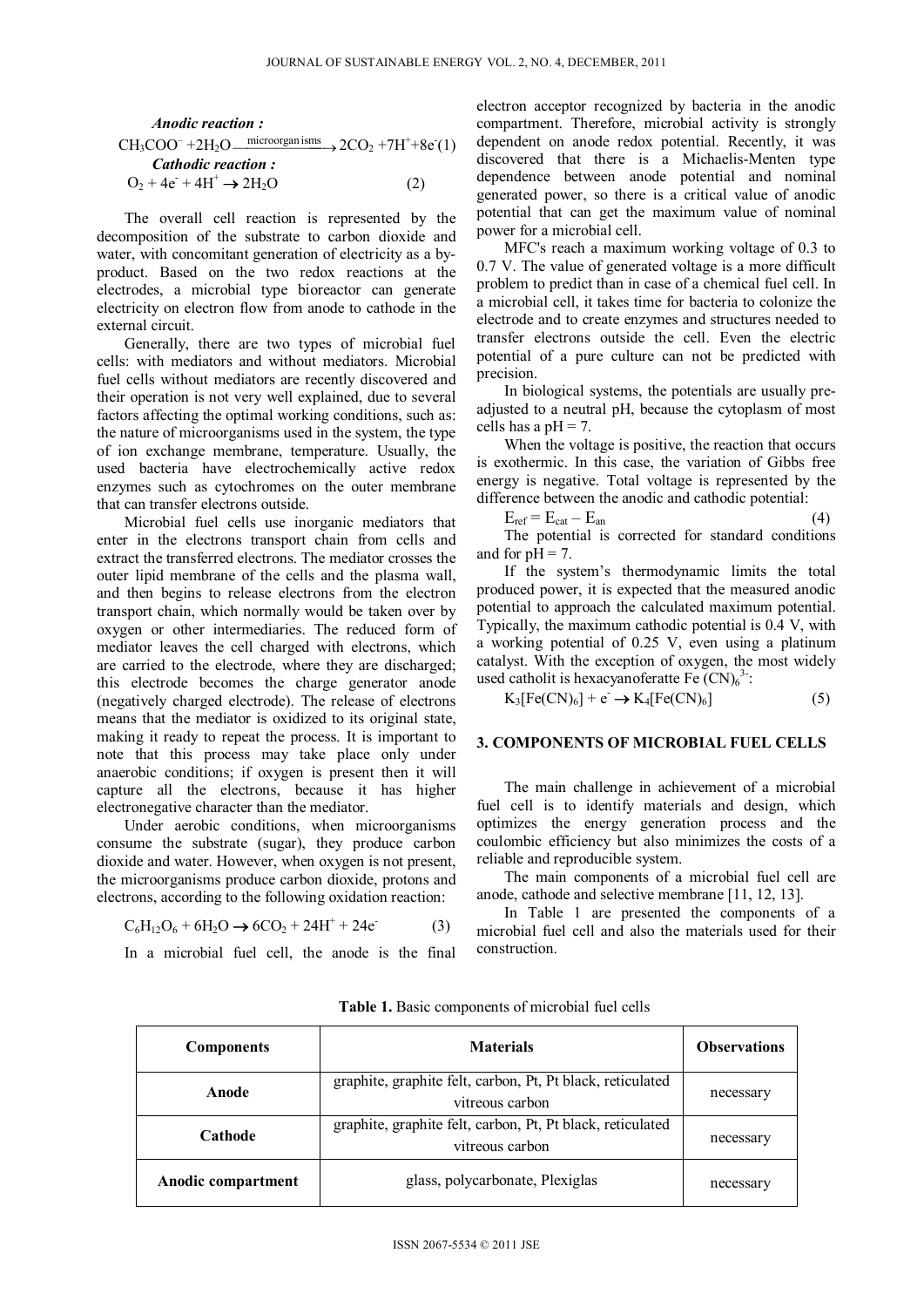Another equation:

\n
$$
\text{CH}_{3} \text{COO}^{-} + 2\text{H}_{2}\text{O} \xrightarrow{\text{microorganisms}} 2\text{CO}_{2} + 7\text{H}^{+} + 8\text{e}^{-}(1)
$$
\n
$$
\text{Cathodic reaction:}
$$
\n
$$
\text{O}_{2} + 4\text{e}^{-} + 4\text{H}^{+} \rightarrow 2\text{H}_{2}\text{O}
$$
\n
$$
(2)
$$

The overall cell reaction is represented by the decomposition of the substrate to carbon dioxide and water, with concomitant generation of electricity as a byproduct. Based on the two redox reactions at the electrodes, a microbial type bioreactor can generate electricity on electron flow from anode to cathode in the external circuit.

Generally, there are two types of microbial fuel cells: with mediators and without mediators. Microbial fuel cells without mediators are recently discovered and their operation is not very well explained, due to several factors affecting the optimal working conditions, such as: the nature of microorganisms used in the system, the type of ion exchange membrane, temperature. Usually, the used bacteria have electrochemically active redox enzymes such as cytochromes on the outer membrane that can transfer electrons outside.

Microbial fuel cells use inorganic mediators that enter in the electrons transport chain from cells and extract the transferred electrons. The mediator crosses the outer lipid membrane of the cells and the plasma wall, and then begins to release electrons from the electron transport chain, which normally would be taken over by oxygen or other intermediaries. The reduced form of mediator leaves the cell charged with electrons, which are carried to the electrode, where they are discharged; this electrode becomes the charge generator anode (negatively charged electrode). The release of electrons means that the mediator is oxidized to its original state, making it ready to repeat the process. It is important to note that this process may take place only under anaerobic conditions; if oxygen is present then it will capture all the electrons, because it has higher electronegative character than the mediator.

Under aerobic conditions, when microorganisms consume the substrate (sugar), they produce carbon dioxide and water. However, when oxygen is not present, the microorganisms produce carbon dioxide, protons and electrons, according to the following oxidation reaction:

$$
C_6H_{12}O_6 + 6H_2O \to 6CO_2 + 24H^+ + 24e^-(3)
$$

In a microbial fuel cell, the anode is the final

electron acceptor recognized by bacteria in the anodic compartment. Therefore, microbial activity is strongly dependent on anode redox potential. Recently, it was discovered that there is a Michaelis-Menten type dependence between anode potential and nominal generated power, so there is a critical value of anodic potential that can get the maximum value of nominal power for a microbial cell.

MFC's reach a maximum working voltage of 0.3 to 0.7 V. The value of generated voltage is a more difficult problem to predict than in case of a chemical fuel cell. In a microbial cell, it takes time for bacteria to colonize the electrode and to create enzymes and structures needed to transfer electrons outside the cell. Even the electric potential of a pure culture can not be predicted with precision.

In biological systems, the potentials are usually preadjusted to a neutral pH, because the cytoplasm of most cells has a  $pH = 7$ .

When the voltage is positive, the reaction that occurs is exothermic. In this case, the variation of Gibbs free energy is negative. Total voltage is represented by the difference between the anodic and cathodic potential:

$$
E_{ref} = E_{cat} - E_{an}
$$
 (4)

The potential is corrected for standard conditions and for  $pH = 7$ .

If the system's thermodynamic limits the total produced power, it is expected that the measured anodic potential to approach the calculated maximum potential. Typically, the maximum cathodic potential is 0.4 V, with a working potential of 0.25 V, even using a platinum catalyst. With the exception of oxygen, the most widely used catholit is hexacyanoferatte Fe  $(CN)_6^{3}$ :

 $K_3[Fe(CN)_6] + e^- \rightarrow K_4[Fe(CN)_6]$  (5)

# **3. COMPONENTS OF MICROBIAL FUEL CELLS**

The main challenge in achievement of a microbial fuel cell is to identify materials and design, which optimizes the energy generation process and the coulombic efficiency but also minimizes the costs of a reliable and reproducible system.

The main components of a microbial fuel cell are anode, cathode and selective membrane [11, 12, 13].

In Table 1 are presented the components of a microbial fuel cell and also the materials used for their construction.

| <b>Components</b>         | <b>Materials</b>                                                              | <b>Observations</b> |
|---------------------------|-------------------------------------------------------------------------------|---------------------|
| Anode                     | graphite, graphite felt, carbon, Pt, Pt black, reticulated<br>vitreous carbon | necessary           |
| Cathode                   | graphite, graphite felt, carbon, Pt, Pt black, reticulated<br>vitreous carbon | necessary           |
| <b>Anodic compartment</b> | glass, polycarbonate, Plexiglas                                               | necessary           |

**Table 1.** Basic components of microbial fuel cells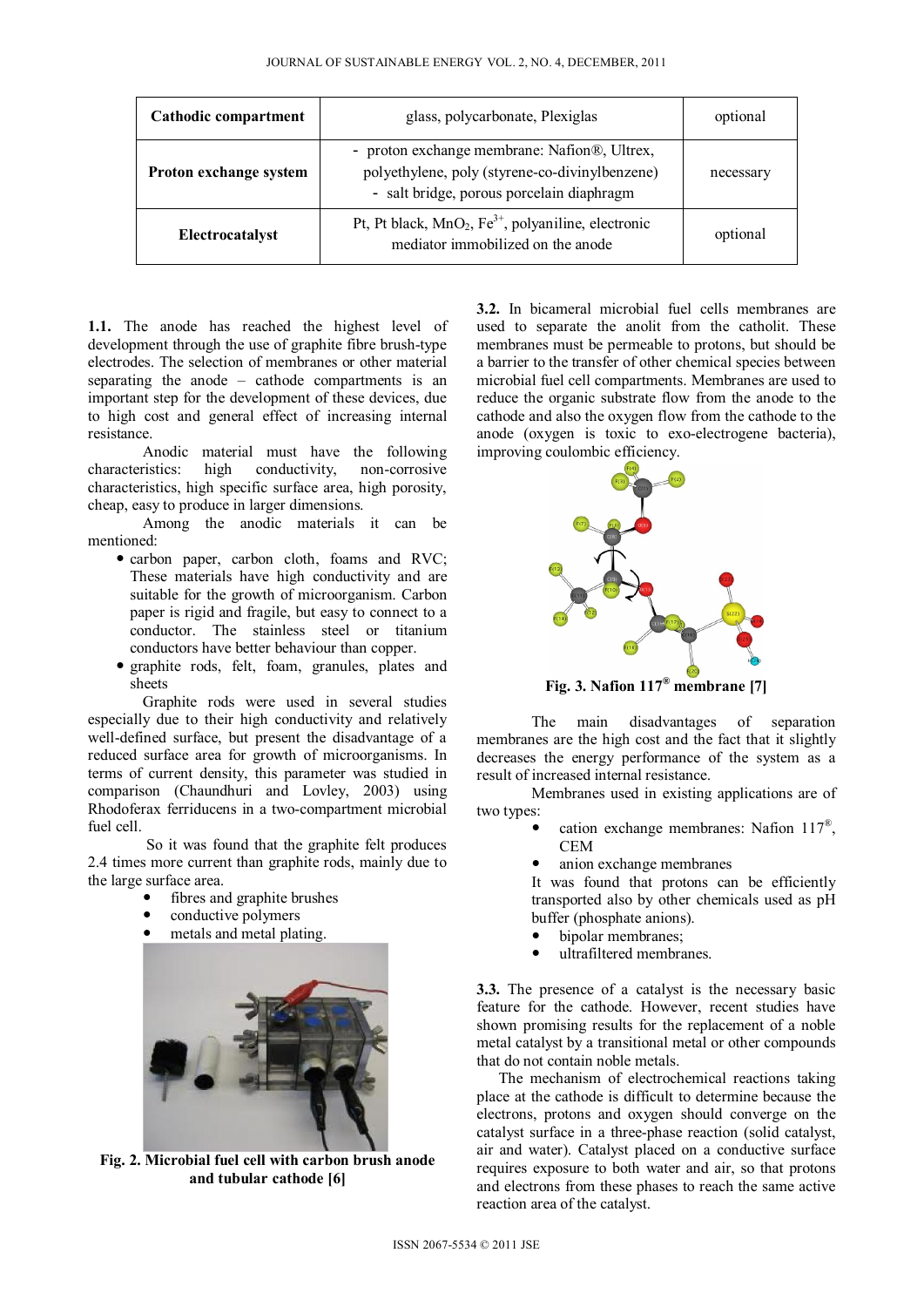| Cathodic compartment   | glass, polycarbonate, Plexiglas                                                                                                             | optional  |
|------------------------|---------------------------------------------------------------------------------------------------------------------------------------------|-----------|
| Proton exchange system | - proton exchange membrane: Nafion®, Ultrex,<br>polyethylene, poly (styrene-co-divinylbenzene)<br>- salt bridge, porous porcelain diaphragm | necessary |
| Electrocatalyst        | Pt, Pt black, $MnO_2$ , Fe <sup>3+</sup> , polyaniline, electronic<br>mediator immobilized on the anode                                     | optional  |

**1.1.** The anode has reached the highest level of development through the use of graphite fibre brush-type electrodes. The selection of membranes or other material separating the anode – cathode compartments is an important step for the development of these devices, due to high cost and general effect of increasing internal resistance.

Anodic material must have the following characteristics: high conductivity, non-corrosive characteristics, high specific surface area, high porosity, cheap, easy to produce in larger dimensions.

Among the anodic materials it can be mentioned:

- carbon paper, carbon cloth, foams and RVC; These materials have high conductivity and are suitable for the growth of microorganism. Carbon paper is rigid and fragile, but easy to connect to a conductor. The stainless steel or titanium conductors have better behaviour than copper.
- graphite rods, felt, foam, granules, plates and sheets

Graphite rods were used in several studies especially due to their high conductivity and relatively well-defined surface, but present the disadvantage of a reduced surface area for growth of microorganisms. In terms of current density, this parameter was studied in comparison (Chaundhuri and Lovley, 2003) using Rhodoferax ferriducens in a two-compartment microbial fuel cell.

 So it was found that the graphite felt produces 2.4 times more current than graphite rods, mainly due to the large surface area.

- fibres and graphite brushes
- conductive polymers
- metals and metal plating.



**Fig. 2. Microbial fuel cell with carbon brush anode and tubular cathode [6]** 

**3.2.** In bicameral microbial fuel cells membranes are used to separate the anolit from the catholit. These membranes must be permeable to protons, but should be a barrier to the transfer of other chemical species between microbial fuel cell compartments. Membranes are used to reduce the organic substrate flow from the anode to the cathode and also the oxygen flow from the cathode to the anode (oxygen is toxic to exo-electrogene bacteria), improving coulombic efficiency.



**Fig. 3. Nafion 117® membrane [7]** 

The main disadvantages of separation membranes are the high cost and the fact that it slightly decreases the energy performance of the system as a result of increased internal resistance.

Membranes used in existing applications are of two types:

- cation exchange membranes: Nafion 117®, CEM
- anion exchange membranes

It was found that protons can be efficiently transported also by other chemicals used as pH buffer (phosphate anions).

- bipolar membranes;
- ultrafiltered membranes.

**3.3.** The presence of a catalyst is the necessary basic feature for the cathode. However, recent studies have shown promising results for the replacement of a noble metal catalyst by a transitional metal or other compounds that do not contain noble metals.

The mechanism of electrochemical reactions taking place at the cathode is difficult to determine because the electrons, protons and oxygen should converge on the catalyst surface in a three-phase reaction (solid catalyst, air and water). Catalyst placed on a conductive surface requires exposure to both water and air, so that protons and electrons from these phases to reach the same active reaction area of the catalyst.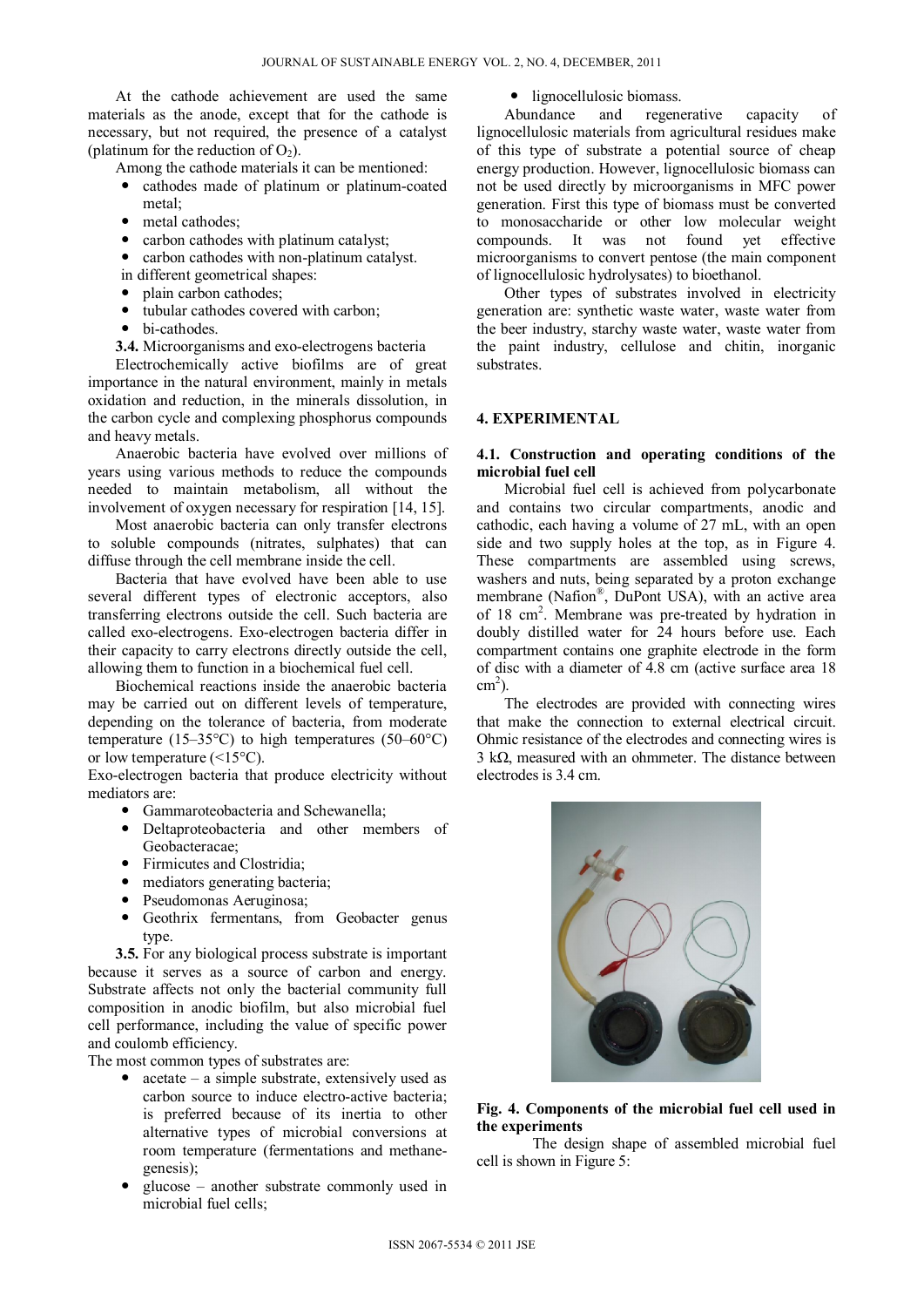At the cathode achievement are used the same materials as the anode, except that for the cathode is necessary, but not required, the presence of a catalyst (platinum for the reduction of  $O_2$ ).

Among the cathode materials it can be mentioned:

- cathodes made of platinum or platinum-coated metal;
- metal cathodes;
- carbon cathodes with platinum catalyst:
- carbon cathodes with non-platinum catalyst.
- in different geometrical shapes:
- plain carbon cathodes;
- tubular cathodes covered with carbon;
- bi-cathodes.
- **3.4.** Microorganisms and exo-electrogens bacteria

Electrochemically active biofilms are of great importance in the natural environment, mainly in metals oxidation and reduction, in the minerals dissolution, in the carbon cycle and complexing phosphorus compounds and heavy metals.

Anaerobic bacteria have evolved over millions of years using various methods to reduce the compounds needed to maintain metabolism, all without the involvement of oxygen necessary for respiration [14, 15].

Most anaerobic bacteria can only transfer electrons to soluble compounds (nitrates, sulphates) that can diffuse through the cell membrane inside the cell.

Bacteria that have evolved have been able to use several different types of electronic acceptors, also transferring electrons outside the cell. Such bacteria are called exo-electrogens. Exo-electrogen bacteria differ in their capacity to carry electrons directly outside the cell, allowing them to function in a biochemical fuel cell.

Biochemical reactions inside the anaerobic bacteria may be carried out on different levels of temperature, depending on the tolerance of bacteria, from moderate temperature (15–35 $\textdegree$ C) to high temperatures (50–60 $\textdegree$ C) or low temperature  $(\leq 15^{\circ}C)$ .

Exo-electrogen bacteria that produce electricity without mediators are:

- Gammaroteobacteria and Schewanella:
- Deltaproteobacteria and other members of Geobacteracae;
- Firmicutes and Clostridia;
- mediators generating bacteria;
- Pseudomonas Aeruginosa;
- Geothrix fermentans, from Geobacter genus type.

**3.5.** For any biological process substrate is important because it serves as a source of carbon and energy. Substrate affects not only the bacterial community full composition in anodic biofilm, but also microbial fuel cell performance, including the value of specific power and coulomb efficiency.

The most common types of substrates are:

- acetate a simple substrate, extensively used as carbon source to induce electro-active bacteria; is preferred because of its inertia to other alternative types of microbial conversions at room temperature (fermentations and methanegenesis);
- glucose another substrate commonly used in microbial fuel cells;

• lignocellulosic biomass.<br>Abundance and regene and regenerative capacity of lignocellulosic materials from agricultural residues make of this type of substrate a potential source of cheap energy production. However, lignocellulosic biomass can not be used directly by microorganisms in MFC power generation. First this type of biomass must be converted to monosaccharide or other low molecular weight compounds. It was not found yet effective microorganisms to convert pentose (the main component of lignocellulosic hydrolysates) to bioethanol.

Other types of substrates involved in electricity generation are: synthetic waste water, waste water from the beer industry, starchy waste water, waste water from the paint industry, cellulose and chitin, inorganic substrates.

## **4. EXPERIMENTAL**

### **4.1. Construction and operating conditions of the microbial fuel cell**

Microbial fuel cell is achieved from polycarbonate and contains two circular compartments, anodic and cathodic, each having a volume of 27 mL, with an open side and two supply holes at the top, as in Figure 4. These compartments are assembled using screws, washers and nuts, being separated by a proton exchange membrane (Nafion®, DuPont USA), with an active area of 18 cm<sup>2</sup>. Membrane was pre-treated by hydration in doubly distilled water for 24 hours before use. Each compartment contains one graphite electrode in the form of disc with a diameter of 4.8 cm (active surface area 18  $\text{cm}^2$ ).

The electrodes are provided with connecting wires that make the connection to external electrical circuit. Ohmic resistance of the electrodes and connecting wires is 3 kΩ, measured with an ohmmeter. The distance between electrodes is 3.4 cm.



# **Fig. 4. Components of the microbial fuel cell used in the experiments**

The design shape of assembled microbial fuel cell is shown in Figure 5: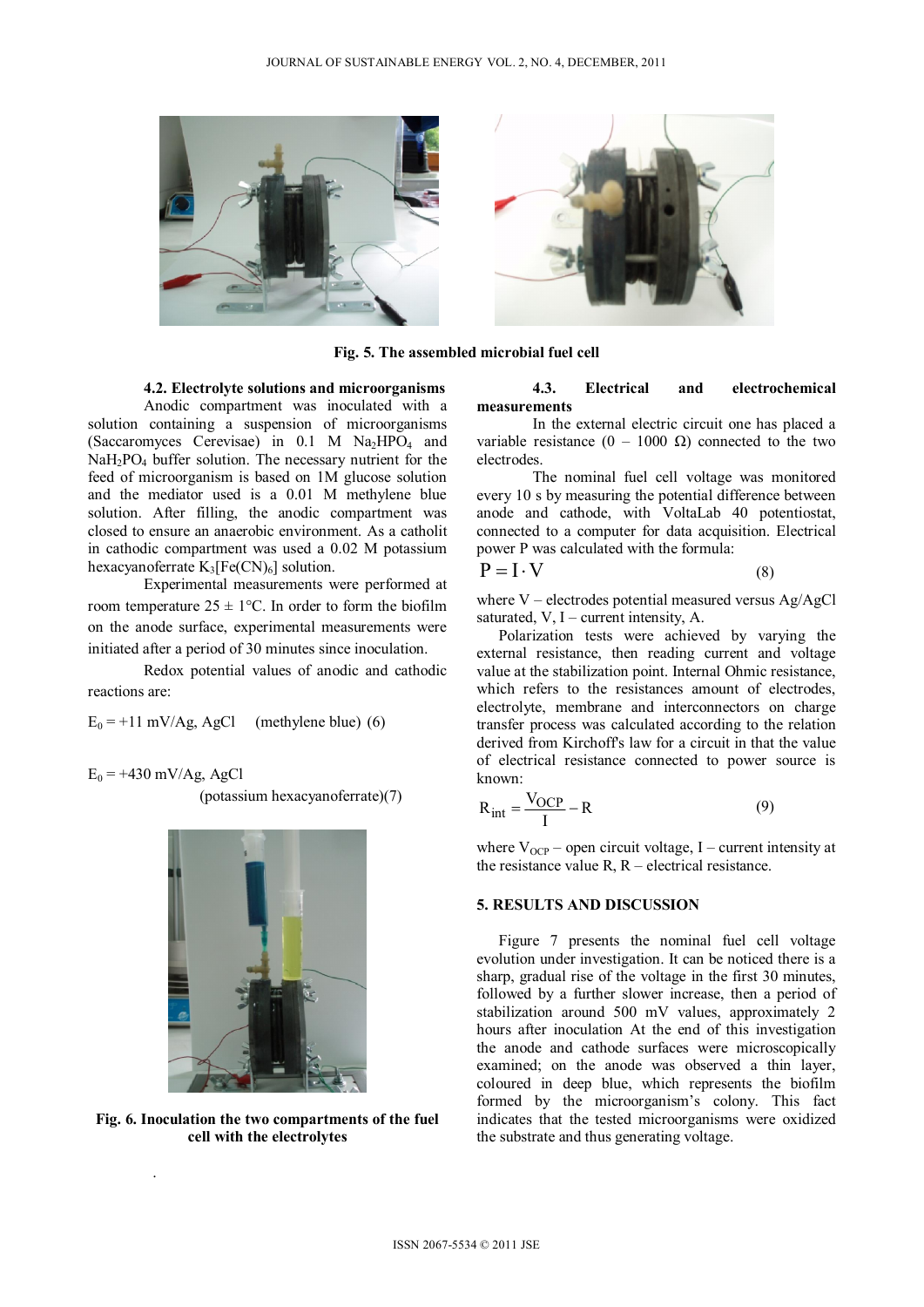

**Fig. 5. The assembled microbial fuel cell** 

### **4.2. Electrolyte solutions and microorganisms**

Anodic compartment was inoculated with a solution containing a suspension of microorganisms (Saccaromyces Cerevisae) in  $0.1$  M Na<sub>2</sub>HPO<sub>4</sub> and  $NaH<sub>2</sub>PO<sub>4</sub>$  buffer solution. The necessary nutrient for the feed of microorganism is based on 1M glucose solution and the mediator used is a 0.01 M methylene blue solution. After filling, the anodic compartment was closed to ensure an anaerobic environment. As a catholit in cathodic compartment was used a 0.02 M potassium hexacyanoferrate  $K_3[Fe(CN)_6]$  solution.

Experimental measurements were performed at room temperature  $25 \pm 1$ °C. In order to form the biofilm on the anode surface, experimental measurements were initiated after a period of 30 minutes since inoculation.

Redox potential values of anodic and cathodic reactions are:

 $E_0 = +11$  mV/Ag, AgCl (methylene blue) (6)

 $E_0$  = +430 mV/Ag, AgCl

.

(potassium hexacyanoferrate)(7)



**Fig. 6. Inoculation the two compartments of the fuel cell with the electrolytes** 

#### **4.3. Electrical and electrochemical measurements**

In the external electric circuit one has placed a variable resistance  $(0 - 1000 \Omega)$  connected to the two electrodes.

The nominal fuel cell voltage was monitored every 10 s by measuring the potential difference between anode and cathode, with VoltaLab 40 potentiostat, connected to a computer for data acquisition. Electrical power P was calculated with the formula:

$$
P = I \cdot V \tag{8}
$$

where V – electrodes potential measured versus Ag/AgCl saturated,  $V$ , I – current intensity, A.

Polarization tests were achieved by varying the external resistance, then reading current and voltage value at the stabilization point. Internal Ohmic resistance, which refers to the resistances amount of electrodes. electrolyte, membrane and interconnectors on charge transfer process was calculated according to the relation derived from Kirchoff's law for a circuit in that the value of electrical resistance connected to power source is known:

$$
R_{int} = \frac{V_{OCP}}{I} - R
$$
 (9)

where  $V_{OCP}$  – open circuit voltage, I – current intensity at the resistance value  $R$ ,  $R$  – electrical resistance.

#### **5. RESULTS AND DISCUSSION**

Figure 7 presents the nominal fuel cell voltage evolution under investigation. It can be noticed there is a sharp, gradual rise of the voltage in the first 30 minutes, followed by a further slower increase, then a period of stabilization around 500 mV values, approximately 2 hours after inoculation At the end of this investigation the anode and cathode surfaces were microscopically examined; on the anode was observed a thin layer, coloured in deep blue, which represents the biofilm formed by the microorganism's colony. This fact indicates that the tested microorganisms were oxidized the substrate and thus generating voltage.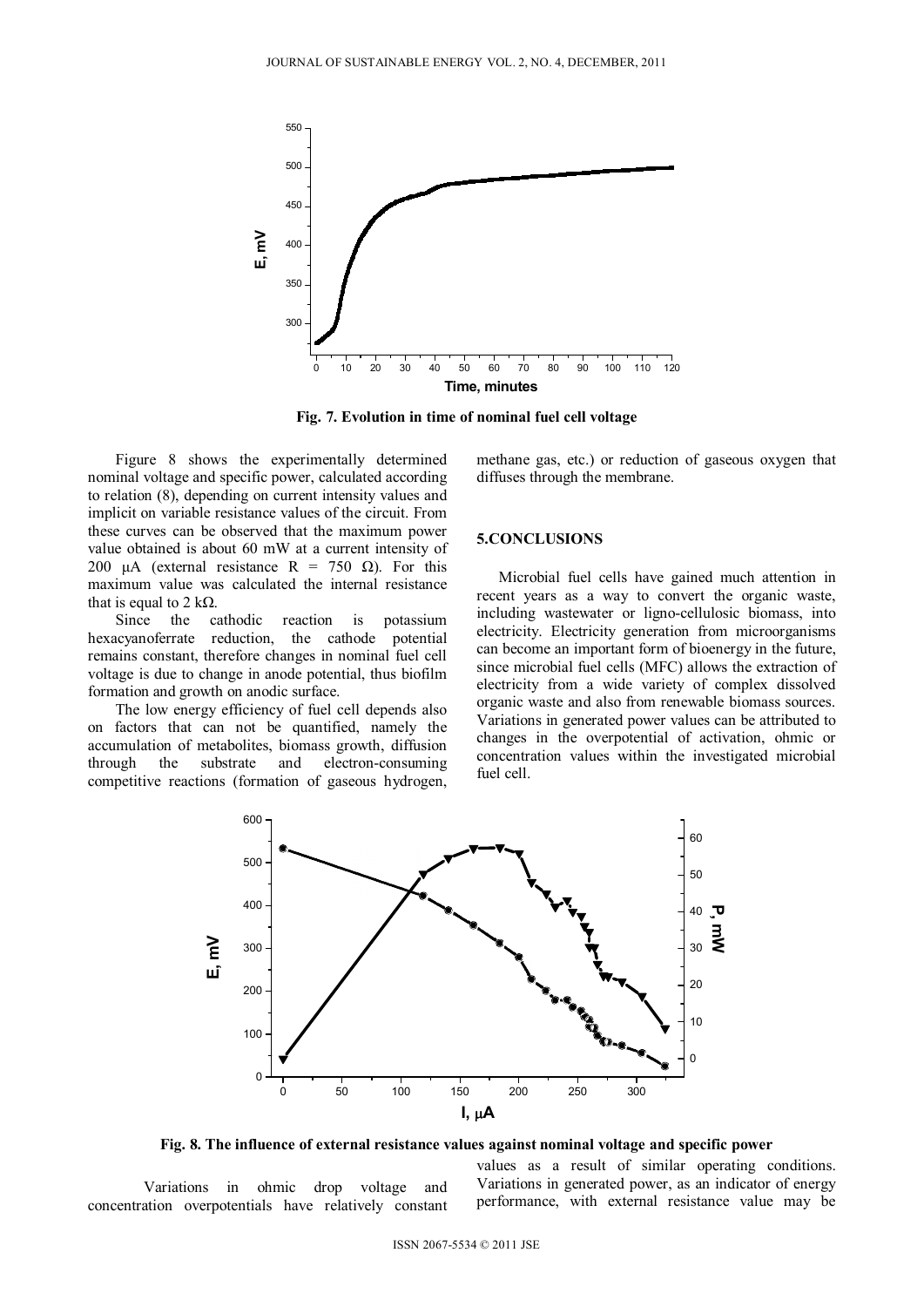

**Fig. 7. Evolution in time of nominal fuel cell voltage** 

Figure 8 shows the experimentally determined nominal voltage and specific power, calculated according to relation (8), depending on current intensity values and implicit on variable resistance values of the circuit. From these curves can be observed that the maximum power value obtained is about 60 mW at a current intensity of 200 μA (external resistance R = 750  $\Omega$ ). For this maximum value was calculated the internal resistance that is equal to 2 kΩ.<br>Since the cathodic

reaction is potassium hexacyanoferrate reduction, the cathode potential remains constant, therefore changes in nominal fuel cell voltage is due to change in anode potential, thus biofilm formation and growth on anodic surface.

The low energy efficiency of fuel cell depends also on factors that can not be quantified, namely the accumulation of metabolites, biomass growth, diffusion through the substrate and electron-consuming competitive reactions (formation of gaseous hydrogen, methane gas, etc.) or reduction of gaseous oxygen that diffuses through the membrane.

### **5.CONCLUSIONS**

Microbial fuel cells have gained much attention in recent years as a way to convert the organic waste, including wastewater or ligno-cellulosic biomass, into electricity. Electricity generation from microorganisms can become an important form of bioenergy in the future, since microbial fuel cells (MFC) allows the extraction of electricity from a wide variety of complex dissolved organic waste and also from renewable biomass sources. Variations in generated power values can be attributed to changes in the overpotential of activation, ohmic or concentration values within the investigated microbial fuel cell.



**Fig. 8. The influence of external resistance values against nominal voltage and specific power** 

Variations in ohmic drop voltage and concentration overpotentials have relatively constant

values as a result of similar operating conditions. Variations in generated power, as an indicator of energy performance, with external resistance value may be